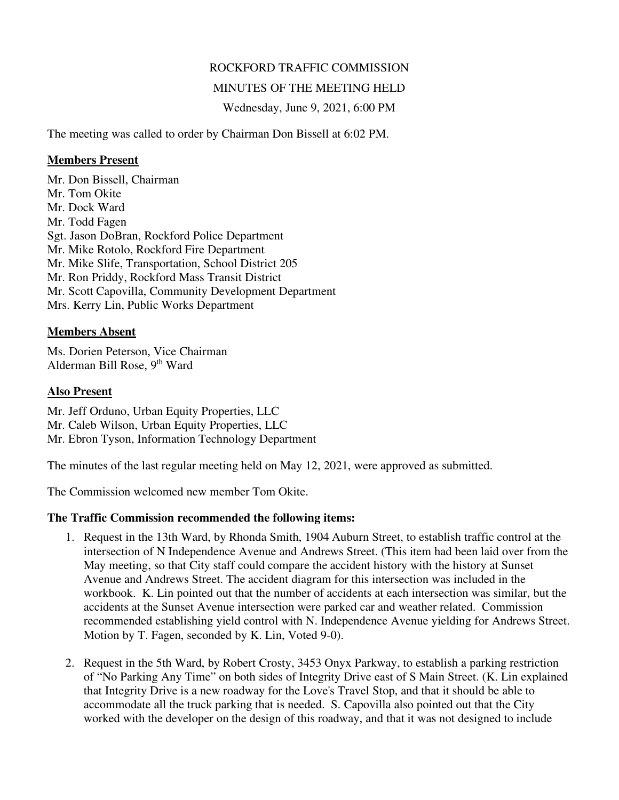# ROCKFORD TRAFFIC COMMISSION

#### MINUTES OF THE MEETING HELD

Wednesday, June 9, 2021, 6:00 PM

The meeting was called to order by Chairman Don Bissell at 6:02 PM.

#### **Members Present**

Mr. Don Bissell, Chairman Mr. Tom Okite Mr. Dock Ward Mr. Todd Fagen Sgt. Jason DoBran, Rockford Police Department Mr. Mike Rotolo, Rockford Fire Department Mr. Mike Slife, Transportation, School District 205 Mr. Ron Priddy, Rockford Mass Transit District Mr. Scott Capovilla, Community Development Department Mrs. Kerry Lin, Public Works Department

# **Members Absent**

Ms. Dorien Peterson, Vice Chairman Alderman Bill Rose, 9th Ward

# **Also Present**

Mr. Jeff Orduno, Urban Equity Properties, LLC Mr. Caleb Wilson, Urban Equity Properties, LLC Mr. Ebron Tyson, Information Technology Department

The minutes of the last regular meeting held on May 12, 2021, were approved as submitted.

The Commission welcomed new member Tom Okite.

# **The Traffic Commission recommended the following items:**

- 1. Request in the 13th Ward, by Rhonda Smith, 1904 Auburn Street, to establish traffic control at the intersection of N Independence Avenue and Andrews Street. (This item had been laid over from the May meeting, so that City staff could compare the accident history with the history at Sunset Avenue and Andrews Street. The accident diagram for this intersection was included in the workbook. K. Lin pointed out that the number of accidents at each intersection was similar, but the accidents at the Sunset Avenue intersection were parked car and weather related. Commission recommended establishing yield control with N. Independence Avenue yielding for Andrews Street. Motion by T. Fagen, seconded by K. Lin, Voted 9-0).
- 2. Request in the 5th Ward, by Robert Crosty, 3453 Onyx Parkway, to establish a parking restriction of "No Parking Any Time" on both sides of Integrity Drive east of S Main Street. (K. Lin explained that Integrity Drive is a new roadway for the Love's Travel Stop, and that it should be able to accommodate all the truck parking that is needed. S. Capovilla also pointed out that the City worked with the developer on the design of this roadway, and that it was not designed to include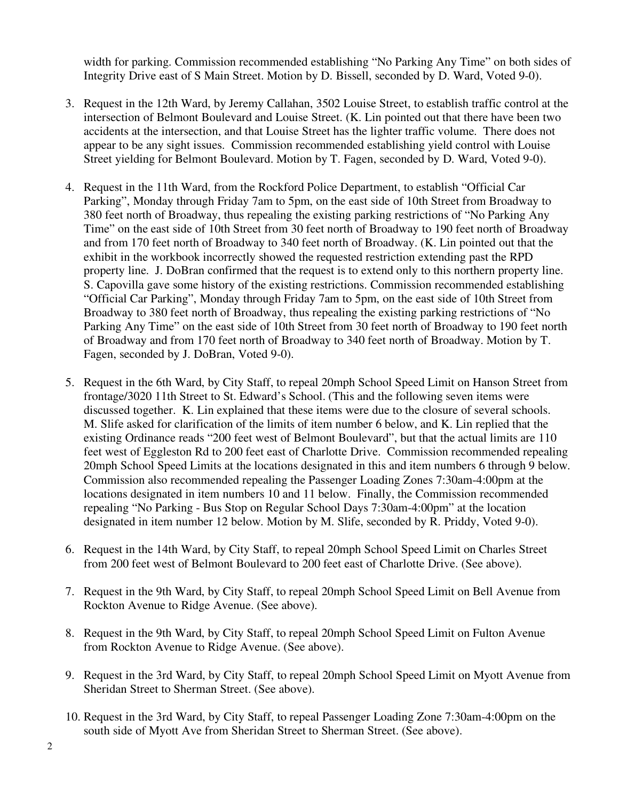width for parking. Commission recommended establishing "No Parking Any Time" on both sides of Integrity Drive east of S Main Street. Motion by D. Bissell, seconded by D. Ward, Voted 9-0).

- 3. Request in the 12th Ward, by Jeremy Callahan, 3502 Louise Street, to establish traffic control at the intersection of Belmont Boulevard and Louise Street. (K. Lin pointed out that there have been two accidents at the intersection, and that Louise Street has the lighter traffic volume. There does not appear to be any sight issues. Commission recommended establishing yield control with Louise Street yielding for Belmont Boulevard. Motion by T. Fagen, seconded by D. Ward, Voted 9-0).
- 4. Request in the 11th Ward, from the Rockford Police Department, to establish "Official Car Parking", Monday through Friday 7am to 5pm, on the east side of 10th Street from Broadway to 380 feet north of Broadway, thus repealing the existing parking restrictions of "No Parking Any Time" on the east side of 10th Street from 30 feet north of Broadway to 190 feet north of Broadway and from 170 feet north of Broadway to 340 feet north of Broadway. (K. Lin pointed out that the exhibit in the workbook incorrectly showed the requested restriction extending past the RPD property line. J. DoBran confirmed that the request is to extend only to this northern property line. S. Capovilla gave some history of the existing restrictions. Commission recommended establishing "Official Car Parking", Monday through Friday 7am to 5pm, on the east side of 10th Street from Broadway to 380 feet north of Broadway, thus repealing the existing parking restrictions of "No Parking Any Time" on the east side of 10th Street from 30 feet north of Broadway to 190 feet north of Broadway and from 170 feet north of Broadway to 340 feet north of Broadway. Motion by T. Fagen, seconded by J. DoBran, Voted 9-0).
- 5. Request in the 6th Ward, by City Staff, to repeal 20mph School Speed Limit on Hanson Street from frontage/3020 11th Street to St. Edward's School. (This and the following seven items were discussed together. K. Lin explained that these items were due to the closure of several schools. M. Slife asked for clarification of the limits of item number 6 below, and K. Lin replied that the existing Ordinance reads "200 feet west of Belmont Boulevard", but that the actual limits are 110 feet west of Eggleston Rd to 200 feet east of Charlotte Drive. Commission recommended repealing 20mph School Speed Limits at the locations designated in this and item numbers 6 through 9 below. Commission also recommended repealing the Passenger Loading Zones 7:30am-4:00pm at the locations designated in item numbers 10 and 11 below. Finally, the Commission recommended repealing "No Parking - Bus Stop on Regular School Days 7:30am-4:00pm" at the location designated in item number 12 below. Motion by M. Slife, seconded by R. Priddy, Voted 9-0).
- 6. Request in the 14th Ward, by City Staff, to repeal 20mph School Speed Limit on Charles Street from 200 feet west of Belmont Boulevard to 200 feet east of Charlotte Drive. (See above).
- 7. Request in the 9th Ward, by City Staff, to repeal 20mph School Speed Limit on Bell Avenue from Rockton Avenue to Ridge Avenue. (See above).
- 8. Request in the 9th Ward, by City Staff, to repeal 20mph School Speed Limit on Fulton Avenue from Rockton Avenue to Ridge Avenue. (See above).
- 9. Request in the 3rd Ward, by City Staff, to repeal 20mph School Speed Limit on Myott Avenue from Sheridan Street to Sherman Street. (See above).
- 10. Request in the 3rd Ward, by City Staff, to repeal Passenger Loading Zone 7:30am-4:00pm on the south side of Myott Ave from Sheridan Street to Sherman Street. (See above).